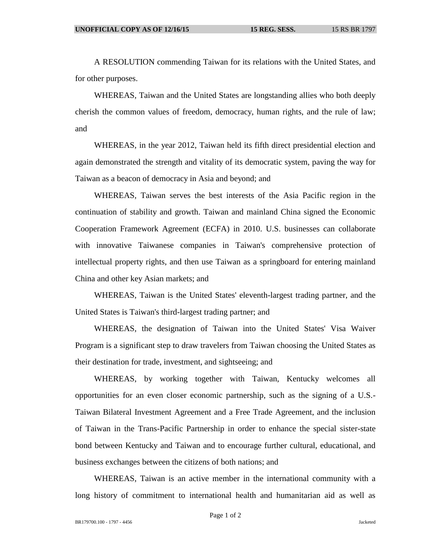A RESOLUTION commending Taiwan for its relations with the United States, and for other purposes.

WHEREAS, Taiwan and the United States are longstanding allies who both deeply cherish the common values of freedom, democracy, human rights, and the rule of law; and

WHEREAS, in the year 2012, Taiwan held its fifth direct presidential election and again demonstrated the strength and vitality of its democratic system, paving the way for Taiwan as a beacon of democracy in Asia and beyond; and

WHEREAS, Taiwan serves the best interests of the Asia Pacific region in the continuation of stability and growth. Taiwan and mainland China signed the Economic Cooperation Framework Agreement (ECFA) in 2010. U.S. businesses can collaborate with innovative Taiwanese companies in Taiwan's comprehensive protection of intellectual property rights, and then use Taiwan as a springboard for entering mainland China and other key Asian markets; and

WHEREAS, Taiwan is the United States' eleventh-largest trading partner, and the United States is Taiwan's third-largest trading partner; and

WHEREAS, the designation of Taiwan into the United States' Visa Waiver Program is a significant step to draw travelers from Taiwan choosing the United States as their destination for trade, investment, and sightseeing; and

WHEREAS, by working together with Taiwan, Kentucky welcomes all opportunities for an even closer economic partnership, such as the signing of a U.S.- Taiwan Bilateral Investment Agreement and a Free Trade Agreement, and the inclusion of Taiwan in the Trans-Pacific Partnership in order to enhance the special sister-state bond between Kentucky and Taiwan and to encourage further cultural, educational, and business exchanges between the citizens of both nations; and

WHEREAS, Taiwan is an active member in the international community with a long history of commitment to international health and humanitarian aid as well as